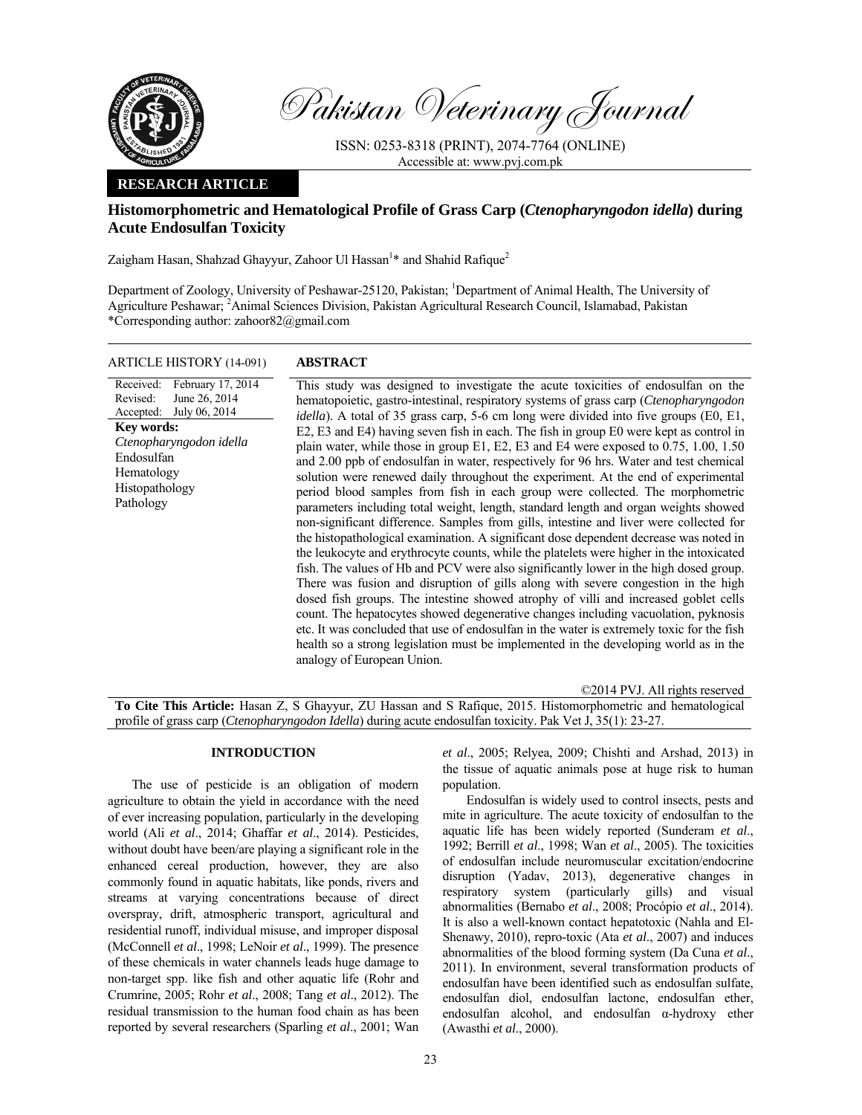

Pakistan Veterinary Journal

ISSN: 0253-8318 (PRINT), 2074-7764 (ONLINE) Accessible at: www.pvj.com.pk

## **RESEARCH ARTICLE**

# **Histomorphometric and Hematological Profile of Grass Carp (***Ctenopharyngodon idella***) during Acute Endosulfan Toxicity**

Zaigham Hasan, Shahzad Ghayyur, Zahoor Ul Hassan<sup>1</sup>\* and Shahid Rafique<sup>2</sup>

Department of Zoology, University of Peshawar-25120, Pakistan; <sup>1</sup>Department of Animal Health, The University of Agriculture Peshawar; <sup>2</sup> Animal Sciences Division, Pakistan Agricultural Research Council, Islamabad, Pakistan \*Corresponding author: zahoor82@gmail.com

| <b>ARTICLE HISTORY (14-091)</b>                                                                                                                                                                      | <b>ABSTRACT</b>                                                                                                                                                                                                                                                                                                                                                                                                                                                                                                                                                                                                                                                                                                                                                                                                                                                                                                                                                                                                                                                                                                                                                                                                                                                                                                                                                                                                                                                                                                                                                                                                                                                                           |
|------------------------------------------------------------------------------------------------------------------------------------------------------------------------------------------------------|-------------------------------------------------------------------------------------------------------------------------------------------------------------------------------------------------------------------------------------------------------------------------------------------------------------------------------------------------------------------------------------------------------------------------------------------------------------------------------------------------------------------------------------------------------------------------------------------------------------------------------------------------------------------------------------------------------------------------------------------------------------------------------------------------------------------------------------------------------------------------------------------------------------------------------------------------------------------------------------------------------------------------------------------------------------------------------------------------------------------------------------------------------------------------------------------------------------------------------------------------------------------------------------------------------------------------------------------------------------------------------------------------------------------------------------------------------------------------------------------------------------------------------------------------------------------------------------------------------------------------------------------------------------------------------------------|
| Received:<br>February 17, 2014<br>Revised:<br>June 26, 2014<br>July 06, 2014<br>Accepted:<br><b>Key words:</b><br>Ctenopharyngodon idella<br>Endosulfan<br>Hematology<br>Histopathology<br>Pathology | This study was designed to investigate the acute toxicities of endosulfan on the<br>hematopoietic, gastro-intestinal, respiratory systems of grass carp (Ctenopharyngodon<br><i>idella</i> ). A total of 35 grass carp, 5-6 cm long were divided into five groups (E0, E1,<br>E2, E3 and E4) having seven fish in each. The fish in group E0 were kept as control in<br>plain water, while those in group $E1$ , $E2$ , $E3$ and $E4$ were exposed to 0.75, 1.00, 1.50<br>and 2.00 ppb of endosulfan in water, respectively for 96 hrs. Water and test chemical<br>solution were renewed daily throughout the experiment. At the end of experimental<br>period blood samples from fish in each group were collected. The morphometric<br>parameters including total weight, length, standard length and organ weights showed<br>non-significant difference. Samples from gills, intestine and liver were collected for<br>the histopathological examination. A significant dose dependent decrease was noted in<br>the leukocyte and erythrocyte counts, while the platelets were higher in the intoxicated<br>fish. The values of Hb and PCV were also significantly lower in the high dosed group.<br>There was fusion and disruption of gills along with severe congestion in the high<br>dosed fish groups. The intestine showed atrophy of villi and increased goblet cells<br>count. The hepatocytes showed degenerative changes including vacuolation, pyknosis<br>etc. It was concluded that use of endosulfan in the water is extremely toxic for the fish<br>health so a strong legislation must be implemented in the developing world as in the<br>analogy of European Union. |
|                                                                                                                                                                                                      | ©2014 PVJ. All rights reserved                                                                                                                                                                                                                                                                                                                                                                                                                                                                                                                                                                                                                                                                                                                                                                                                                                                                                                                                                                                                                                                                                                                                                                                                                                                                                                                                                                                                                                                                                                                                                                                                                                                            |

**To Cite This Article:** Hasan Z, S Ghayyur, ZU Hassan and S Rafique, 2015. Histomorphometric and hematological profile of grass carp (*Ctenopharyngodon Idella*) during acute endosulfan toxicity. Pak Vet J, 35(1): 23-27.

## **INTRODUCTION**

The use of pesticide is an obligation of modern agriculture to obtain the yield in accordance with the need of ever increasing population, particularly in the developing world (Ali *et al*., 2014; Ghaffar *et al*., 2014). Pesticides, without doubt have been/are playing a significant role in the enhanced cereal production, however, they are also commonly found in aquatic habitats, like ponds, rivers and streams at varying concentrations because of direct overspray, drift, atmospheric transport, agricultural and residential runoff, individual misuse, and improper disposal (McConnell *et al*., 1998; LeNoir *et al*., 1999). The presence of these chemicals in water channels leads huge damage to non-target spp. like fish and other aquatic life (Rohr and Crumrine, 2005; Rohr *et al*., 2008; Tang *et al*., 2012). The residual transmission to the human food chain as has been reported by several researchers (Sparling *et al*., 2001; Wan

*et al*., 2005; Relyea, 2009; Chishti and Arshad, 2013) in the tissue of aquatic animals pose at huge risk to human population.

Endosulfan is widely used to control insects, pests and mite in agriculture. The acute toxicity of endosulfan to the aquatic life has been widely reported (Sunderam *et al*., 1992; Berrill *et al*., 1998; Wan *et al*., 2005). The toxicities of endosulfan include neuromuscular excitation/endocrine disruption (Yadav, 2013), degenerative changes in respiratory system (particularly gills) and visual abnormalities (Bernabo *et al*., 2008; Procópio *et al*., 2014). It is also a well-known contact hepatotoxic (Nahla and El-Shenawy, 2010), repro-toxic (Ata *et al*., 2007) and induces abnormalities of the blood forming system (Da Cuna *et al*., 2011). In environment, several transformation products of endosulfan have been identified such as endosulfan sulfate, endosulfan diol, endosulfan lactone, endosulfan ether, endosulfan alcohol, and endosulfan α-hydroxy ether (Awasthi *et al*., 2000).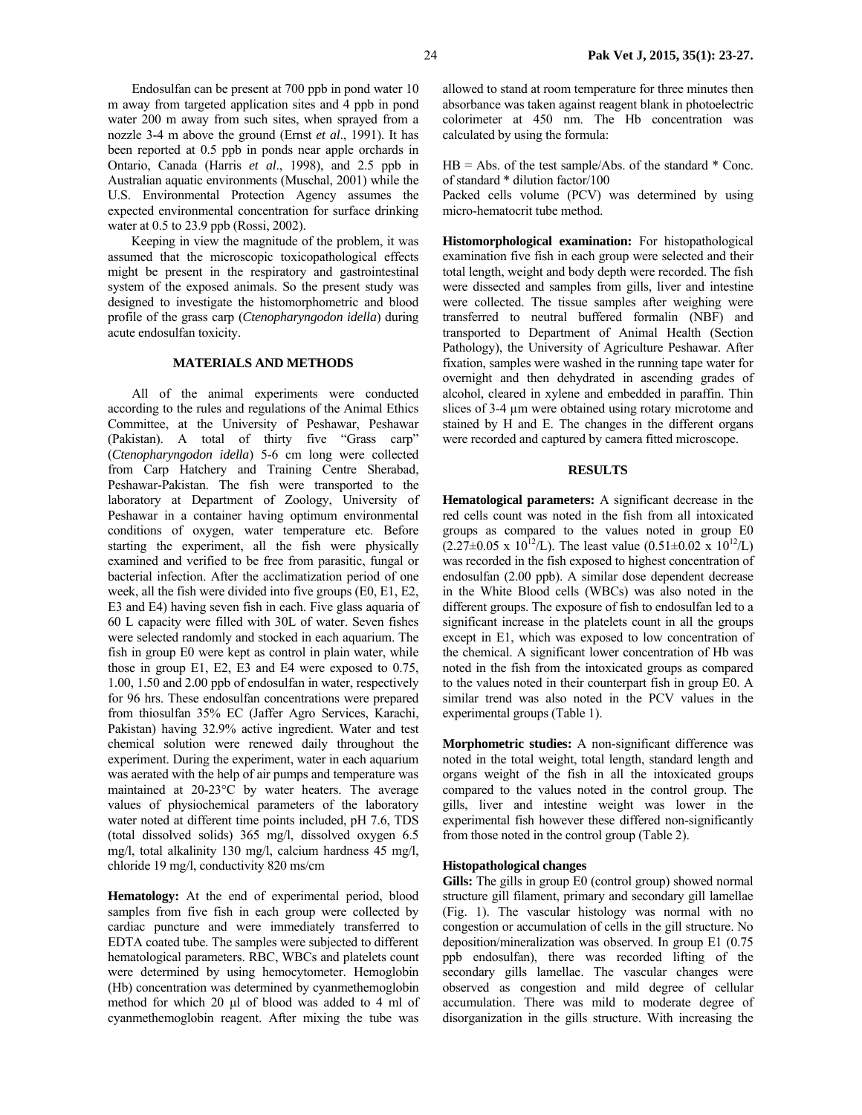Endosulfan can be present at 700 ppb in pond water 10 m away from targeted application sites and 4 ppb in pond water 200 m away from such sites, when sprayed from a nozzle 3-4 m above the ground (Ernst *et al*., 1991). It has been reported at 0.5 ppb in ponds near apple orchards in Ontario, Canada (Harris *et al*., 1998), and 2.5 ppb in Australian aquatic environments (Muschal, 2001) while the U.S. Environmental Protection Agency assumes the expected environmental concentration for surface drinking water at 0.5 to 23.9 ppb (Rossi, 2002).

Keeping in view the magnitude of the problem, it was assumed that the microscopic toxicopathological effects might be present in the respiratory and gastrointestinal system of the exposed animals. So the present study was designed to investigate the histomorphometric and blood profile of the grass carp (*Ctenopharyngodon idella*) during acute endosulfan toxicity.

## **MATERIALS AND METHODS**

All of the animal experiments were conducted according to the rules and regulations of the Animal Ethics Committee, at the University of Peshawar, Peshawar (Pakistan). A total of thirty five "Grass carp" (*Ctenopharyngodon idella*) 5-6 cm long were collected from Carp Hatchery and Training Centre Sherabad, Peshawar-Pakistan. The fish were transported to the laboratory at Department of Zoology, University of Peshawar in a container having optimum environmental conditions of oxygen, water temperature etc. Before starting the experiment, all the fish were physically examined and verified to be free from parasitic, fungal or bacterial infection. After the acclimatization period of one week, all the fish were divided into five groups (E0, E1, E2, E3 and E4) having seven fish in each. Five glass aquaria of 60 L capacity were filled with 30L of water. Seven fishes were selected randomly and stocked in each aquarium. The fish in group E0 were kept as control in plain water, while those in group E1, E2, E3 and E4 were exposed to 0.75, 1.00, 1.50 and 2.00 ppb of endosulfan in water, respectively for 96 hrs. These endosulfan concentrations were prepared from thiosulfan 35% EC (Jaffer Agro Services, Karachi, Pakistan) having 32.9% active ingredient. Water and test chemical solution were renewed daily throughout the experiment. During the experiment, water in each aquarium was aerated with the help of air pumps and temperature was maintained at 20-23°C by water heaters. The average values of physiochemical parameters of the laboratory water noted at different time points included, pH 7.6, TDS (total dissolved solids) 365 mg/l, dissolved oxygen 6.5 mg/l, total alkalinity 130 mg/l, calcium hardness 45 mg/l, chloride 19 mg/l, conductivity 820 ms/cm

**Hematology:** At the end of experimental period, blood samples from five fish in each group were collected by cardiac puncture and were immediately transferred to EDTA coated tube. The samples were subjected to different hematological parameters. RBC, WBCs and platelets count were determined by using hemocytometer. Hemoglobin (Hb) concentration was determined by cyanmethemoglobin method for which 20 µl of blood was added to 4 ml of cyanmethemoglobin reagent. After mixing the tube was allowed to stand at room temperature for three minutes then absorbance was taken against reagent blank in photoelectric colorimeter at 450 nm. The Hb concentration was calculated by using the formula:

 $HB = Abs.$  of the test sample/Abs. of the standard  $*$  Conc. of standard \* dilution factor/100

Packed cells volume (PCV) was determined by using micro-hematocrit tube method.

**Histomorphological examination:** For histopathological examination five fish in each group were selected and their total length, weight and body depth were recorded. The fish were dissected and samples from gills, liver and intestine were collected. The tissue samples after weighing were transferred to neutral buffered formalin (NBF) and transported to Department of Animal Health (Section Pathology), the University of Agriculture Peshawar. After fixation, samples were washed in the running tape water for overnight and then dehydrated in ascending grades of alcohol, cleared in xylene and embedded in paraffin. Thin slices of 3-4  $\mu$ m were obtained using rotary microtome and stained by H and E. The changes in the different organs were recorded and captured by camera fitted microscope.

#### **RESULTS**

**Hematological parameters:** A significant decrease in the red cells count was noted in the fish from all intoxicated groups as compared to the values noted in group E0  $(2.27\pm0.05 \times 10^{12}$ /L). The least value  $(0.51\pm0.02 \times 10^{12}$ /L) was recorded in the fish exposed to highest concentration of endosulfan (2.00 ppb). A similar dose dependent decrease in the White Blood cells (WBCs) was also noted in the different groups. The exposure of fish to endosulfan led to a significant increase in the platelets count in all the groups except in E1, which was exposed to low concentration of the chemical. A significant lower concentration of Hb was noted in the fish from the intoxicated groups as compared to the values noted in their counterpart fish in group E0. A similar trend was also noted in the PCV values in the experimental groups (Table 1).

**Morphometric studies:** A non-significant difference was noted in the total weight, total length, standard length and organs weight of the fish in all the intoxicated groups compared to the values noted in the control group. The gills, liver and intestine weight was lower in the experimental fish however these differed non-significantly from those noted in the control group (Table 2).

### **Histopathological changes**

**Gills:** The gills in group E0 (control group) showed normal structure gill filament, primary and secondary gill lamellae (Fig. 1). The vascular histology was normal with no congestion or accumulation of cells in the gill structure. No deposition/mineralization was observed. In group E1 (0.75 ppb endosulfan), there was recorded lifting of the secondary gills lamellae. The vascular changes were observed as congestion and mild degree of cellular accumulation. There was mild to moderate degree of disorganization in the gills structure. With increasing the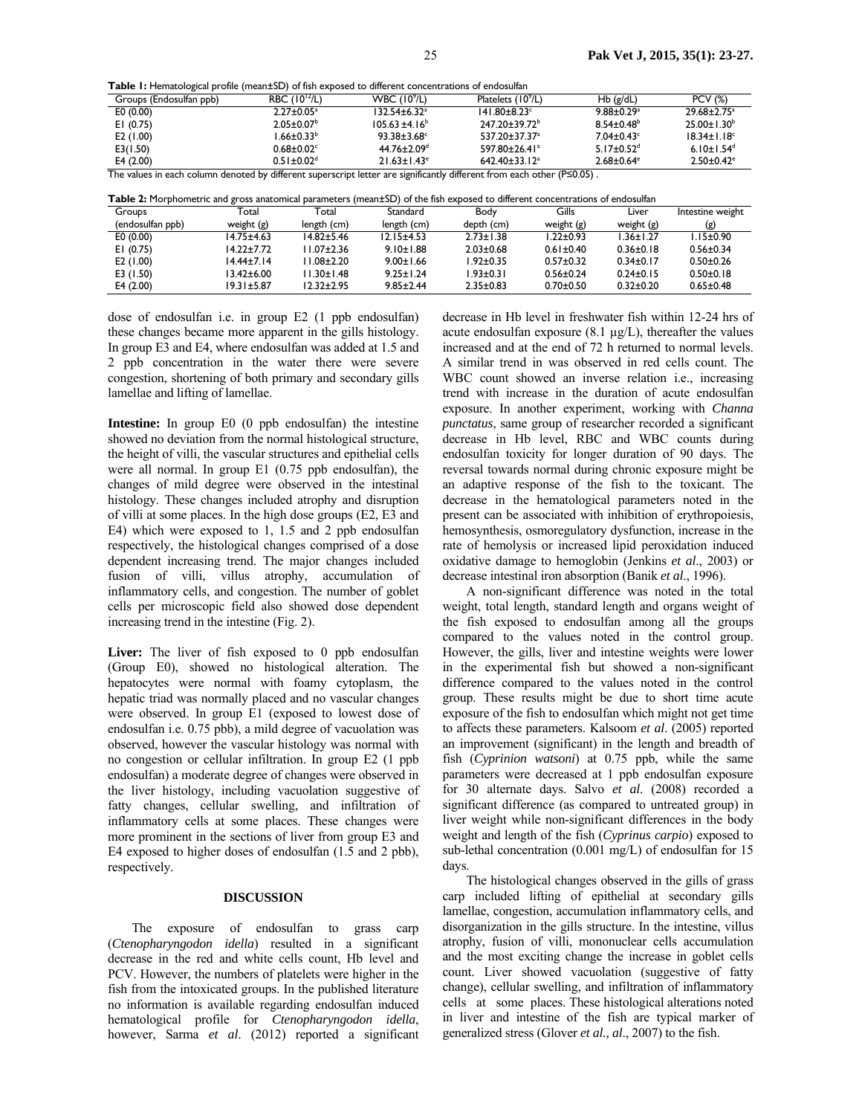|  |  |  | <b>Table 1:</b> Hematological profile (mean±SD) of fish exposed to different concentrations of endosulfan |
|--|--|--|-----------------------------------------------------------------------------------------------------------|
|--|--|--|-----------------------------------------------------------------------------------------------------------|

| Groups (Endosulfan ppb)                                                                                         | RBC (10 <sup>12</sup> /L)    | WBC $(109/L)$                  | Platelets (10 <sup>9</sup> /L)  | $Hb$ (g/dL)                  | <b>PCV (%)</b>               |
|-----------------------------------------------------------------------------------------------------------------|------------------------------|--------------------------------|---------------------------------|------------------------------|------------------------------|
| E0(0.00)                                                                                                        | $2.27 \pm 0.05^a$            | $132.54 \pm 6.32$ <sup>a</sup> | $141.80 \pm 8.23$ <sup>c</sup>  | $9.88 \pm 0.29$ <sup>a</sup> | $29.68 \pm 2.75^a$           |
| EI $(0.75)$                                                                                                     | $2.05 \pm 0.07^{\circ}$      | $105.63 \pm 4.16^b$            | 247.20±39.72 <sup>b</sup>       | $8.54 \pm 0.48$ <sup>b</sup> | $25.00 \pm 1.30^b$           |
| E2 $(1.00)$                                                                                                     | $.66 \pm 0.33^b$             | $93.38 \pm 3.68$ <sup>c</sup>  | 537.20±37.37 <sup>a</sup>       | $7.04 \pm 0.43$ °            | $18.34 \pm 1.18^{\circ}$     |
| E3(1.50)                                                                                                        | $0.68 \pm 0.02$ <sup>c</sup> | $44.76 \pm 2.09$ <sup>d</sup>  | $597.80 \pm 26.41$ <sup>a</sup> | $5.17 \pm 0.52$ <sup>d</sup> | 6.10 $\pm$ 1.54 <sup>d</sup> |
| E4 (2.00)                                                                                                       | $0.51 \pm 0.02$ <sup>d</sup> | $21.63 \pm 1.43$ <sup>e</sup>  | $642.40 \pm 33.12$ <sup>a</sup> | $2.68 \pm 0.64$ <sup>e</sup> | $2.50 \pm 0.42$ <sup>e</sup> |
| π ι ι Προσταθεί της Στην Μπορτίας της Στην Μπορτίας της Προσταθής της Προσταθής της Προσταθής της Προσταθής της |                              |                                |                                 |                              |                              |

The values in each column denoted by different superscript letter are significantly different from each other (P≤0.05) .

| Groups           | Total            | Total            | Standard         | Body            | Gills           | Liver           | Intestine weight |
|------------------|------------------|------------------|------------------|-----------------|-----------------|-----------------|------------------|
| (endosulfan ppb) | weight (g)       | length (cm)      | length (cm)      | depth (cm)      | weight $(g)$    | weight $(g)$    | (g)              |
| E0(0.00)         | $14.75 \pm 4.63$ | $14.82 + 5.46$   | $12.15 \pm 4.53$ | $2.73 \pm 1.38$ | $1.22 \pm 0.93$ | $1.36 \pm 1.27$ | $1.15 \pm 0.90$  |
| EI(0.75)         | $14.22 + 7.72$   | 11.07±2.36       | $9.10 \pm 1.88$  | $2.03 \pm 0.68$ | $0.61 \pm 0.40$ | $0.36 \pm 0.18$ | $0.56 \pm 0.34$  |
| E2 (1.00)        | $14.44 \pm 7.14$ | $1.08 \pm 2.20$  | $9.00 \pm 1.66$  | $1.92 \pm 0.35$ | $0.57 \pm 0.32$ | $0.34 \pm 0.17$ | $0.50 + 0.26$    |
| E3 (1.50)        | $13.42 \pm 6.00$ | $1.30 \pm 1.48$  | $9.25 \pm 1.24$  | $1.93 \pm 0.31$ | $0.56 \pm 0.24$ | $0.24 \pm 0.15$ | $0.50 + 0.18$    |
| E4(2.00)         | $19.31 \pm 5.87$ | $12.32 \pm 2.95$ | $9.85 \pm 2.44$  | $2.35 \pm 0.83$ | $0.70 + 0.50$   | $0.32 \pm 0.20$ | $0.65 \pm 0.48$  |

dose of endosulfan i.e. in group E2 (1 ppb endosulfan) these changes became more apparent in the gills histology. In group E3 and E4, where endosulfan was added at 1.5 and 2 ppb concentration in the water there were severe congestion, shortening of both primary and secondary gills lamellae and lifting of lamellae.

**Intestine:** In group E0 (0 ppb endosulfan) the intestine showed no deviation from the normal histological structure, the height of villi, the vascular structures and epithelial cells were all normal. In group E1 (0.75 ppb endosulfan), the changes of mild degree were observed in the intestinal histology. These changes included atrophy and disruption of villi at some places. In the high dose groups (E2, E3 and E4) which were exposed to 1, 1.5 and 2 ppb endosulfan respectively, the histological changes comprised of a dose dependent increasing trend. The major changes included fusion of villi, villus atrophy, accumulation of inflammatory cells, and congestion. The number of goblet cells per microscopic field also showed dose dependent increasing trend in the intestine (Fig. 2).

Liver: The liver of fish exposed to 0 ppb endosulfan (Group E0), showed no histological alteration. The hepatocytes were normal with foamy cytoplasm, the hepatic triad was normally placed and no vascular changes were observed. In group E1 (exposed to lowest dose of endosulfan i.e. 0.75 pbb), a mild degree of vacuolation was observed, however the vascular histology was normal with no congestion or cellular infiltration. In group E2 (1 ppb endosulfan) a moderate degree of changes were observed in the liver histology, including vacuolation suggestive of fatty changes, cellular swelling, and infiltration of inflammatory cells at some places. These changes were more prominent in the sections of liver from group E3 and E4 exposed to higher doses of endosulfan (1.5 and 2 pbb), respectively.

### **DISCUSSION**

The exposure of endosulfan to grass carp (*Ctenopharyngodon idella*) resulted in a significant decrease in the red and white cells count, Hb level and PCV. However, the numbers of platelets were higher in the fish from the intoxicated groups. In the published literature no information is available regarding endosulfan induced hematological profile for *Ctenopharyngodon idella*, however, Sarma *et al*. (2012) reported a significant

decrease in Hb level in freshwater fish within 12-24 hrs of acute endosulfan exposure  $(8.1 \mu g/L)$ , thereafter the values increased and at the end of 72 h returned to normal levels. A similar trend in was observed in red cells count. The WBC count showed an inverse relation i.e., increasing trend with increase in the duration of acute endosulfan exposure. In another experiment, working with *Channa punctatus*, same group of researcher recorded a significant decrease in Hb level, RBC and WBC counts during endosulfan toxicity for longer duration of 90 days. The reversal towards normal during chronic exposure might be an adaptive response of the fish to the toxicant. The decrease in the hematological parameters noted in the present can be associated with inhibition of erythropoiesis, hemosynthesis, osmoregulatory dysfunction, increase in the rate of hemolysis or increased lipid peroxidation induced oxidative damage to hemoglobin (Jenkins *et al*., 2003) or decrease intestinal iron absorption (Banik *et al*., 1996).

A non-significant difference was noted in the total weight, total length, standard length and organs weight of the fish exposed to endosulfan among all the groups compared to the values noted in the control group. However, the gills, liver and intestine weights were lower in the experimental fish but showed a non-significant difference compared to the values noted in the control group. These results might be due to short time acute exposure of the fish to endosulfan which might not get time to affects these parameters. Kalsoom *et al*. (2005) reported an improvement (significant) in the length and breadth of fish (*Cyprinion watsoni*) at 0.75 ppb, while the same parameters were decreased at 1 ppb endosulfan exposure for 30 alternate days. Salvo *et al*. (2008) recorded a significant difference (as compared to untreated group) in liver weight while non-significant differences in the body weight and length of the fish (*Cyprinus carpio*) exposed to sub-lethal concentration (0.001 mg/L) of endosulfan for 15 days.

The histological changes observed in the gills of grass carp included lifting of epithelial at secondary gills lamellae, congestion, accumulation inflammatory cells, and disorganization in the gills structure. In the intestine, villus atrophy, fusion of villi, mononuclear cells accumulation and the most exciting change the increase in goblet cells count. Liver showed vacuolation (suggestive of fatty change), cellular swelling, and infiltration of inflammatory cells at some places. These histological alterations noted in liver and intestine of the fish are typical marker of generalized stress (Glover *et al., al*., 2007) to the fish.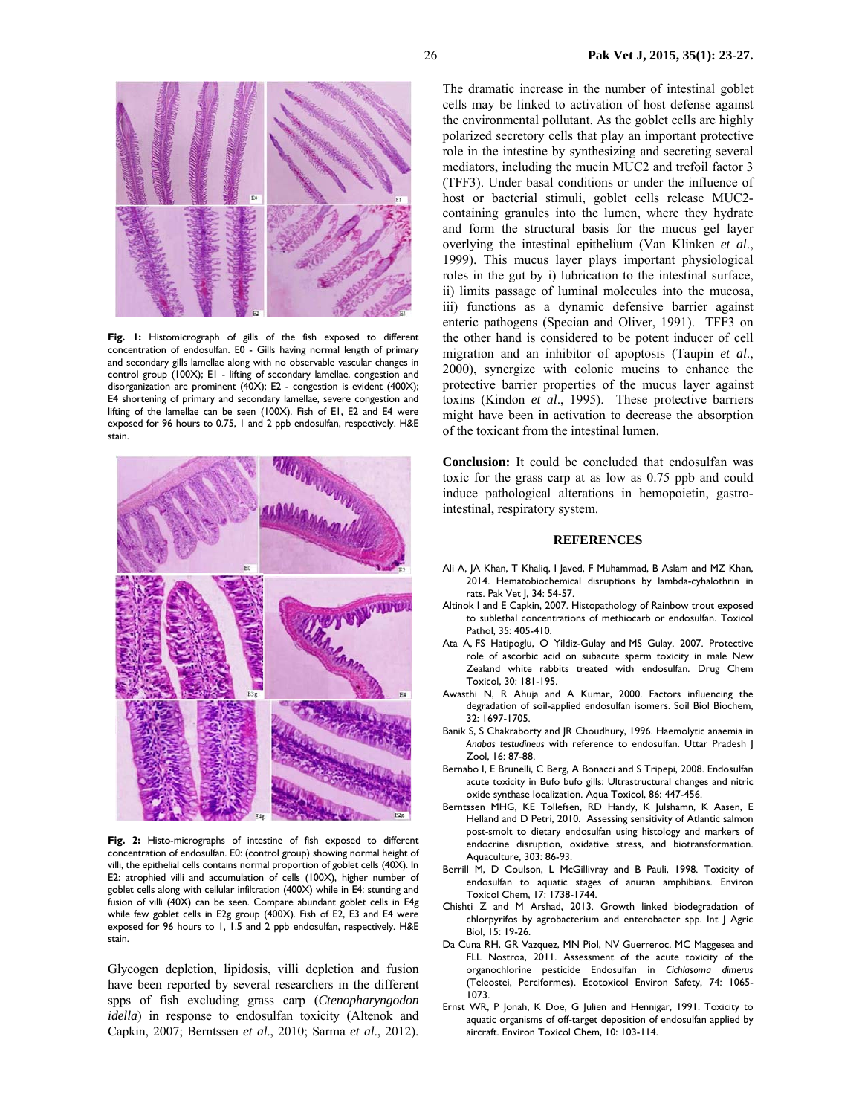

**Fig. 1:** Histomicrograph of gills of the fish exposed to different concentration of endosulfan. E0 - Gills having normal length of primary and secondary gills lamellae along with no observable vascular changes in control group (100X); E1 - lifting of secondary lamellae, congestion and disorganization are prominent (40X); E2 - congestion is evident (400X); E4 shortening of primary and secondary lamellae, severe congestion and lifting of the lamellae can be seen (100X). Fish of E1, E2 and E4 were exposed for 96 hours to 0.75, 1 and 2 ppb endosulfan, respectively. H&E stain.



**Fig. 2:** Histo-micrographs of intestine of fish exposed to different concentration of endosulfan. E0: (control group) showing normal height of villi, the epithelial cells contains normal proportion of goblet cells (40X). In E2: atrophied villi and accumulation of cells (100X), higher number of goblet cells along with cellular infiltration (400X) while in E4: stunting and fusion of villi (40X) can be seen. Compare abundant goblet cells in E4g while few goblet cells in E2g group (400X). Fish of E2, E3 and E4 were exposed for 96 hours to 1, 1.5 and 2 ppb endosulfan, respectively. H&E stain.

Glycogen depletion, lipidosis, villi depletion and fusion have been reported by several researchers in the different spps of fish excluding grass carp (*Ctenopharyngodon idella*) in response to endosulfan toxicity (Altenok and Capkin, 2007; Berntssen *et al*., 2010; Sarma *et al*., 2012).

The dramatic increase in the number of intestinal goblet cells may be linked to activation of host defense against the environmental pollutant. As the goblet cells are highly polarized secretory cells that play an important protective role in the intestine by synthesizing and secreting several mediators, including the mucin MUC2 and trefoil factor 3 (TFF3). Under basal conditions or under the influence of host or bacterial stimuli, goblet cells release MUC2 containing granules into the lumen, where they hydrate and form the structural basis for the mucus gel layer overlying the intestinal epithelium (Van Klinken *et al*., 1999). This mucus layer plays important physiological roles in the gut by i) lubrication to the intestinal surface, ii) limits passage of luminal molecules into the mucosa, iii) functions as a dynamic defensive barrier against enteric pathogens (Specian and Oliver, 1991). TFF3 on the other hand is considered to be potent inducer of cell migration and an inhibitor of apoptosis (Taupin *et al*., 2000), synergize with colonic mucins to enhance the protective barrier properties of the mucus layer against toxins (Kindon *et al*., 1995). These protective barriers might have been in activation to decrease the absorption of the toxicant from the intestinal lumen.

**Conclusion:** It could be concluded that endosulfan was toxic for the grass carp at as low as 0.75 ppb and could induce pathological alterations in hemopoietin, gastrointestinal, respiratory system.

#### **REFERENCES**

- Ali A, JA Khan, T Khaliq, I Javed, F Muhammad, B Aslam and MZ Khan, 2014. Hematobiochemical disruptions by lambda-cyhalothrin in rats. Pak Vet J, 34: 54-57.
- Altinok I and E Capkin, 2007. Histopathology of Rainbow trout exposed to sublethal concentrations of methiocarb or endosulfan. Toxicol Pathol, 35: 405-410.
- Ata A, FS Hatipoglu, O Yildiz-Gulay and MS Gulay, 2007. Protective role of ascorbic acid on subacute sperm toxicity in male New Zealand white rabbits treated with endosulfan. Drug Chem Toxicol, 30: 181-195.
- Awasthi N, R Ahuja and A Kumar, 2000. Factors influencing the degradation of soil-applied endosulfan isomers. Soil Biol Biochem, 32: 1697-1705.
- Banik S, S Chakraborty and JR Choudhury, 1996. Haemolytic anaemia in *Anabas testudineus* with reference to endosulfan. Uttar Pradesh J Zool, 16: 87-88.
- Bernabo I, E Brunelli, C Berg, A Bonacci and S Tripepi, 2008. Endosulfan acute toxicity in Bufo bufo gills: Ultrastructural changes and nitric oxide synthase localization. Aqua Toxicol, 86: 447-456.
- Berntssen MHG, KE Tollefsen, RD Handy, K Julshamn, K Aasen, E Helland and D Petri, 2010. Assessing sensitivity of Atlantic salmon post-smolt to dietary endosulfan using histology and markers of endocrine disruption, oxidative stress, and biotransformation. Aquaculture, 303: 86-93.
- Berrill M, D Coulson, L McGillivray and B Pauli, 1998. Toxicity of endosulfan to aquatic stages of anuran amphibians. Environ Toxicol Chem, 17: 1738-1744.
- Chishti Z and M Arshad, 2013. Growth linked biodegradation of chlorpyrifos by agrobacterium and enterobacter spp. Int J Agric Biol, 15: 19-26.
- Da Cuna RH, GR Vazquez, MN Piol, NV Guerreroc, MC Maggesea and FLL Nostroa, 2011. Assessment of the acute toxicity of the organochlorine pesticide Endosulfan in *Cichlasoma dimerus* (Teleostei, Perciformes). Ecotoxicol Environ Safety, 74: 1065- 1073.
- Ernst WR, P Jonah, K Doe, G Julien and Hennigar, 1991. Toxicity to aquatic organisms of off-target deposition of endosulfan applied by aircraft. Environ Toxicol Chem, 10: 103-114.